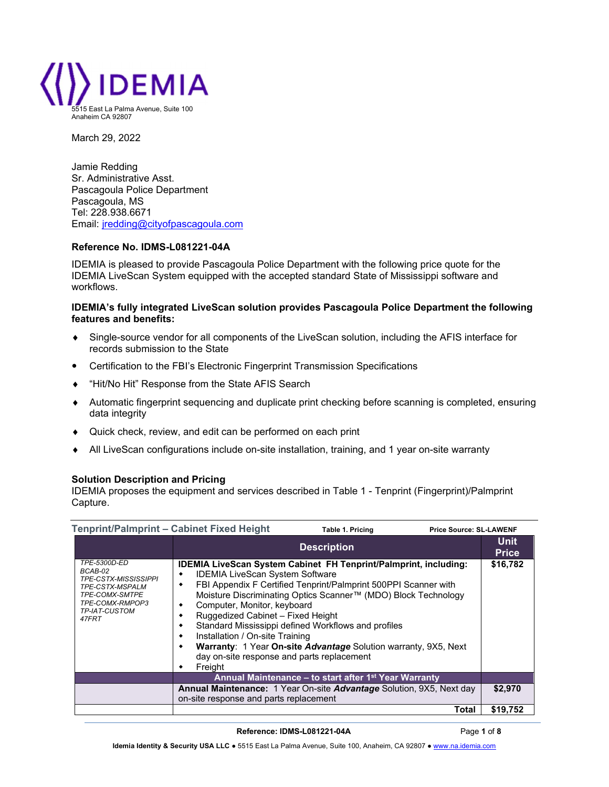

March 29, 2022

Jamie Redding Sr. Administrative Asst. Pascagoula Police Department Pascagoula, MS Tel: 228.938.6671 Email: jredding@cityofpascagoula.com

## Reference No. IDMS-L081221-04A

IDEMIA is pleased to provide Pascagoula Police Department with the following price quote for the IDEMIA LiveScan System equipped with the accepted standard State of Mississippi software and workflows.

## IDEMIA's fully integrated LiveScan solution provides Pascagoula Police Department the following features and benefits:

- Single-source vendor for all components of the LiveScan solution, including the AFIS interface for records submission to the State
- Certification to the FBI's Electronic Fingerprint Transmission Specifications
- ◆ "Hit/No Hit" Response from the State AFIS Search
- Automatic fingerprint sequencing and duplicate print checking before scanning is completed, ensuring data integrity
- Quick check, review, and edit can be performed on each print
- All LiveScan configurations include on-site installation, training, and 1 year on-site warranty

## Solution Description and Pricing

IDEMIA proposes the equipment and services described in Table 1 - Tenprint (Fingerprint)/Palmprint Capture.

| Tenprint/Palmprint - Cabinet Fixed Height<br><b>Price Source: SL-LAWENF</b><br>Table 1. Pricing                                   |                                                                                                                                                                                                                                                                                                                                                                                                                                                                                                                                                                                          |                             |
|-----------------------------------------------------------------------------------------------------------------------------------|------------------------------------------------------------------------------------------------------------------------------------------------------------------------------------------------------------------------------------------------------------------------------------------------------------------------------------------------------------------------------------------------------------------------------------------------------------------------------------------------------------------------------------------------------------------------------------------|-----------------------------|
|                                                                                                                                   | <b>Description</b>                                                                                                                                                                                                                                                                                                                                                                                                                                                                                                                                                                       | <b>Unit</b><br><b>Price</b> |
| TPE-5300D-ED<br>BCAB-02<br>TPE-CSTX-MISSISSIPPI<br>TPE-CSTX-MSPALM<br>TPE-COMX-SMTPE<br>TPE-COMX-RMPOP3<br>TP-IAT-CUSTOM<br>47FRT | <b>IDEMIA LiveScan System Cabinet FH Tenprint/Palmprint, including:</b><br><b>IDEMIA LiveScan System Software</b><br>٠<br>FBI Appendix F Certified Tenprint/Palmprint 500PPI Scanner with<br>٠<br>Moisture Discriminating Optics Scanner™ (MDO) Block Technology<br>Computer, Monitor, keyboard<br>٠<br>Ruggedized Cabinet - Fixed Height<br>٠<br>Standard Mississippi defined Workflows and profiles<br>٠<br>Installation / On-site Training<br>٠<br>Warranty: 1 Year On-site Advantage Solution warranty, 9X5, Next<br>٠<br>day on-site response and parts replacement<br>Freight<br>٠ | \$16,782                    |
|                                                                                                                                   | Annual Maintenance - to start after 1 <sup>st</sup> Year Warranty                                                                                                                                                                                                                                                                                                                                                                                                                                                                                                                        |                             |
|                                                                                                                                   | <b>Annual Maintenance:</b> 1 Year On-site <b>Advantage</b> Solution, 9X5, Next day<br>on-site response and parts replacement                                                                                                                                                                                                                                                                                                                                                                                                                                                             | \$2,970                     |
|                                                                                                                                   | Total                                                                                                                                                                                                                                                                                                                                                                                                                                                                                                                                                                                    | \$19,752                    |

#### Reference: IDMS-L081221-04A Page 1 of 8

Idemia Identity & Security USA LLC ● 5515 East La Palma Avenue, Suite 100, Anaheim, CA 92807 ● www.na.idemia.com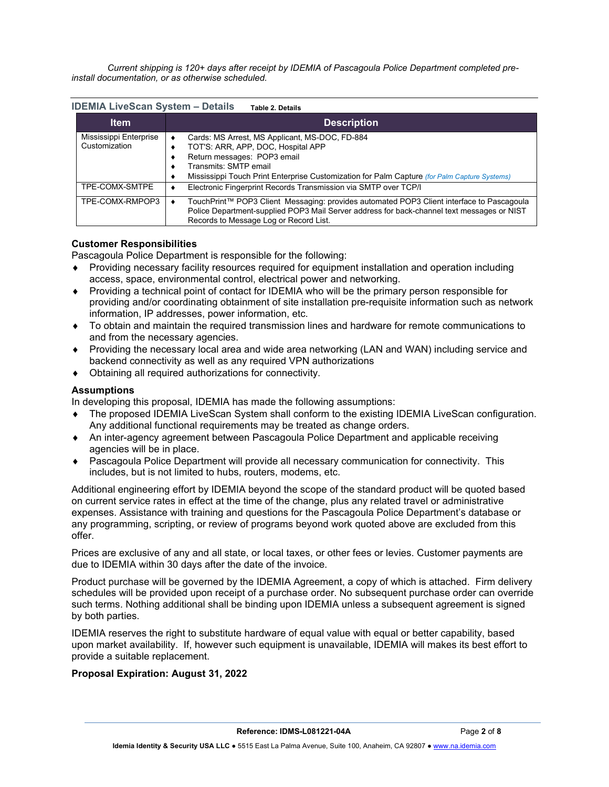*Current shipping is 120+ days after receipt by IDEMIA of Pascagoula Police Department completed preinstall documentation, or as otherwise scheduled.*

|  | <b>IDEMIA LiveScan System - Details</b> | <b>Table 2. Details</b> |
|--|-----------------------------------------|-------------------------|
|--|-----------------------------------------|-------------------------|

| ltem                                    | <b>Description</b>                                                                                                                                                                                                                           |
|-----------------------------------------|----------------------------------------------------------------------------------------------------------------------------------------------------------------------------------------------------------------------------------------------|
| Mississippi Enterprise<br>Customization | Cards: MS Arrest, MS Applicant, MS-DOC, FD-884<br>TOT'S: ARR, APP, DOC, Hospital APP<br>Return messages: POP3 email<br>Transmits: SMTP email<br>Mississippi Touch Print Enterprise Customization for Palm Capture (for Palm Capture Systems) |
| TPE-COMX-SMTPE                          | Electronic Fingerprint Records Transmission via SMTP over TCP/I                                                                                                                                                                              |
| TPE-COMX-RMPOP3                         | TouchPrint™ POP3 Client Messaging: provides automated POP3 Client interface to Pascagoula<br>Police Department-supplied POP3 Mail Server address for back-channel text messages or NIST<br>Records to Message Log or Record List.            |

## Customer Responsibilities

Pascagoula Police Department is responsible for the following:

- Providing necessary facility resources required for equipment installation and operation including access, space, environmental control, electrical power and networking.
- Providing a technical point of contact for IDEMIA who will be the primary person responsible for providing and/or coordinating obtainment of site installation pre-requisite information such as network information, IP addresses, power information, etc.
- To obtain and maintain the required transmission lines and hardware for remote communications to and from the necessary agencies.
- Providing the necessary local area and wide area networking (LAN and WAN) including service and backend connectivity as well as any required VPN authorizations
- Obtaining all required authorizations for connectivity.

## **Assumptions**

In developing this proposal, IDEMIA has made the following assumptions:

- The proposed IDEMIA LiveScan System shall conform to the existing IDEMIA LiveScan configuration. Any additional functional requirements may be treated as change orders.
- An inter-agency agreement between Pascagoula Police Department and applicable receiving agencies will be in place.
- Pascagoula Police Department will provide all necessary communication for connectivity. This includes, but is not limited to hubs, routers, modems, etc.

Additional engineering effort by IDEMIA beyond the scope of the standard product will be quoted based on current service rates in effect at the time of the change, plus any related travel or administrative expenses. Assistance with training and questions for the Pascagoula Police Department's database or any programming, scripting, or review of programs beyond work quoted above are excluded from this offer.

Prices are exclusive of any and all state, or local taxes, or other fees or levies. Customer payments are due to IDEMIA within 30 days after the date of the invoice.

Product purchase will be governed by the IDEMIA Agreement, a copy of which is attached. Firm delivery schedules will be provided upon receipt of a purchase order. No subsequent purchase order can override such terms. Nothing additional shall be binding upon IDEMIA unless a subsequent agreement is signed by both parties.

IDEMIA reserves the right to substitute hardware of equal value with equal or better capability, based upon market availability. If, however such equipment is unavailable, IDEMIA will makes its best effort to provide a suitable replacement.

## Proposal Expiration: August 31, 2022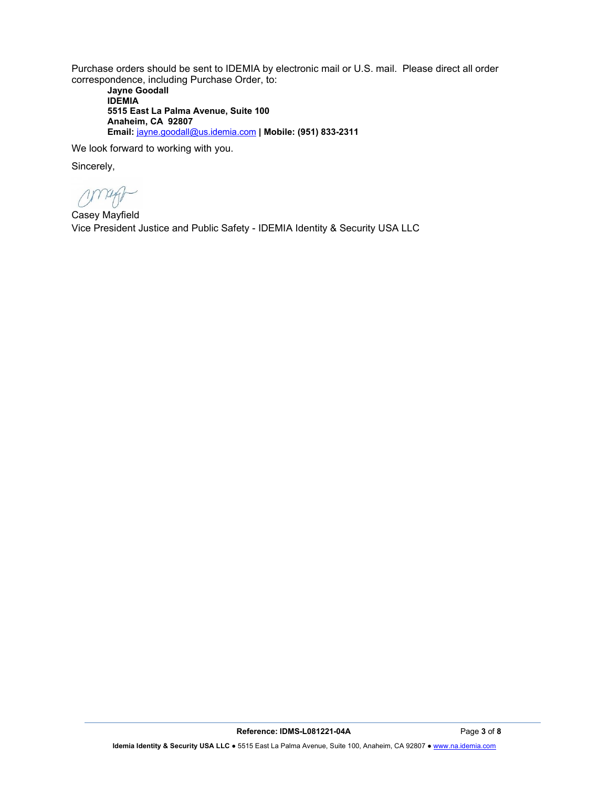Purchase orders should be sent to IDEMIA by electronic mail or U.S. mail. Please direct all order correspondence, including Purchase Order, to:

Jayne Goodall IDEMIA 5515 East La Palma Avenue, Suite 100 Anaheim, CA 92807 Email: jayne.goodall@us.idemia.com | Mobile: (951) 833-2311

We look forward to working with you.

Sincerely,

Casey Mayfield Vice President Justice and Public Safety - IDEMIA Identity & Security USA LLC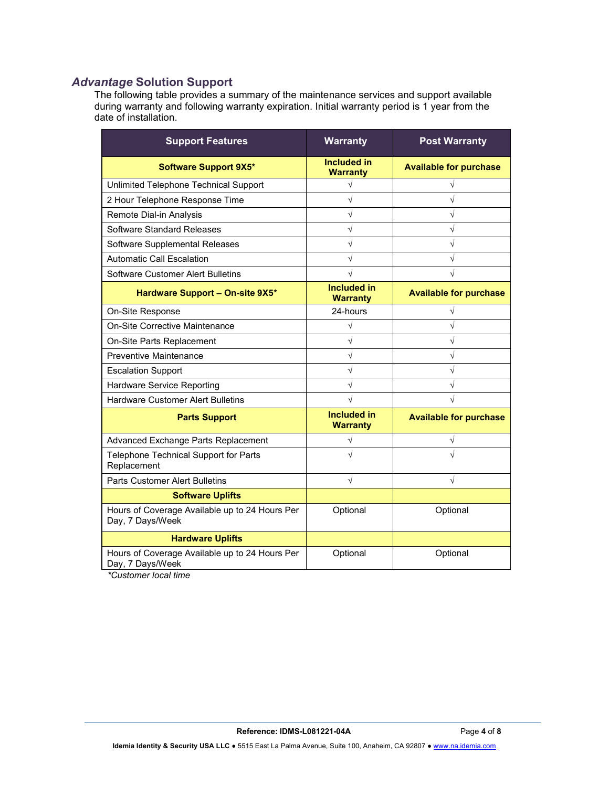## *Advantage* Solution Support

The following table provides a summary of the maintenance services and support available during warranty and following warranty expiration. Initial warranty period is 1 year from the date of installation.

| <b>Support Features</b>                                            | <b>Warranty</b>                       | <b>Post Warranty</b>          |
|--------------------------------------------------------------------|---------------------------------------|-------------------------------|
| <b>Software Support 9X5*</b>                                       | Included in<br><b>Warranty</b>        | <b>Available for purchase</b> |
| Unlimited Telephone Technical Support                              | V                                     |                               |
| 2 Hour Telephone Response Time                                     | $\sqrt{}$                             | $\sqrt{}$                     |
| Remote Dial-in Analysis                                            | $\sqrt{}$                             |                               |
| Software Standard Releases                                         | $\sqrt{}$                             | $\sqrt{}$                     |
| Software Supplemental Releases                                     | $\sqrt{}$                             | $\sqrt{}$                     |
| <b>Automatic Call Escalation</b>                                   | $\sqrt{}$                             | $\sqrt{}$                     |
| Software Customer Alert Bulletins                                  | V                                     | V                             |
| Hardware Support - On-site 9X5*                                    | <b>Included in</b><br><b>Warranty</b> | <b>Available for purchase</b> |
| On-Site Response                                                   | 24-hours                              | V                             |
| On-Site Corrective Maintenance                                     | V                                     |                               |
| On-Site Parts Replacement                                          | $\sqrt{}$                             | $\sqrt{}$                     |
| <b>Preventive Maintenance</b>                                      | $\sqrt{}$                             | $\sqrt{}$                     |
| <b>Escalation Support</b>                                          | $\sqrt{}$                             | $\sqrt{2}$                    |
| Hardware Service Reporting                                         | $\sqrt{}$                             | $\sqrt{}$                     |
| <b>Hardware Customer Alert Bulletins</b>                           |                                       |                               |
| <b>Parts Support</b>                                               | <b>Included in</b><br><b>Warranty</b> | <b>Available for purchase</b> |
| Advanced Exchange Parts Replacement                                | $\sqrt{}$                             | $\sqrt{}$                     |
| Telephone Technical Support for Parts<br>Replacement               | $\sqrt{}$                             |                               |
| <b>Parts Customer Alert Bulletins</b>                              | $\sqrt{}$                             | $\sqrt{}$                     |
| <b>Software Uplifts</b>                                            |                                       |                               |
| Hours of Coverage Available up to 24 Hours Per<br>Day, 7 Days/Week | Optional                              | Optional                      |
| <b>Hardware Uplifts</b>                                            |                                       |                               |
| Hours of Coverage Available up to 24 Hours Per<br>Day, 7 Days/Week | Optional                              | Optional                      |

*\*Customer local time*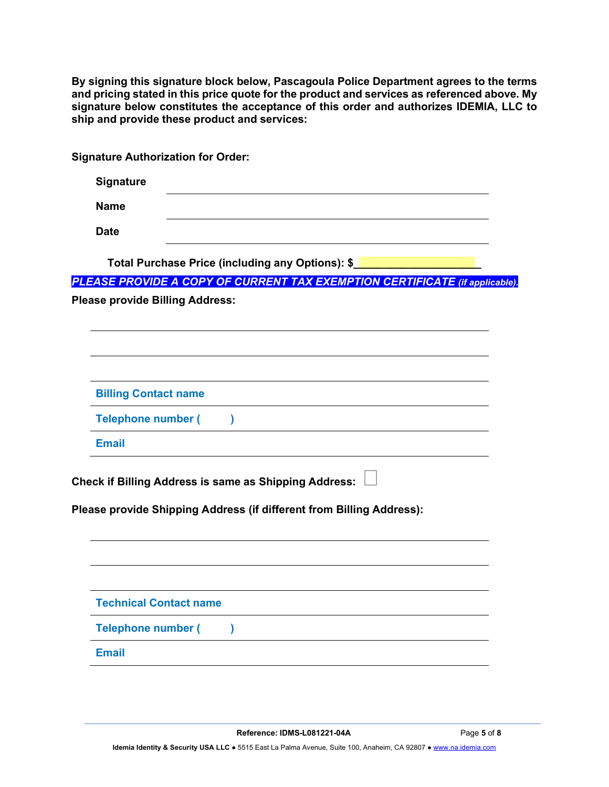| By signing this signature block below, Pascagoula Police Department agrees to the terms<br>and pricing stated in this price quote for the product and services as referenced above. My<br>signature below constitutes the acceptance of this order and authorizes IDEMIA, LLC to<br>ship and provide these product and services: |
|----------------------------------------------------------------------------------------------------------------------------------------------------------------------------------------------------------------------------------------------------------------------------------------------------------------------------------|
| <b>Signature Authorization for Order:</b>                                                                                                                                                                                                                                                                                        |
| <b>Signature</b>                                                                                                                                                                                                                                                                                                                 |
| <b>Name</b>                                                                                                                                                                                                                                                                                                                      |
| <b>Date</b>                                                                                                                                                                                                                                                                                                                      |
| Total Purchase Price (including any Options): \$                                                                                                                                                                                                                                                                                 |
| PLEASE PROVIDE A COPY OF CURRENT TAX EXEMPTION CERTIFICATE (if applicable).                                                                                                                                                                                                                                                      |
| <b>Please provide Billing Address:</b>                                                                                                                                                                                                                                                                                           |
| <b>Billing Contact name</b>                                                                                                                                                                                                                                                                                                      |
| <b>Telephone number (</b><br><b>Email</b>                                                                                                                                                                                                                                                                                        |
| <b>Check if Billing Address is same as Shipping Address:</b><br>Please provide Shipping Address (if different from Billing Address):                                                                                                                                                                                             |
| <b>Technical Contact name</b><br><b>Telephone number (</b>                                                                                                                                                                                                                                                                       |
| <b>Email</b>                                                                                                                                                                                                                                                                                                                     |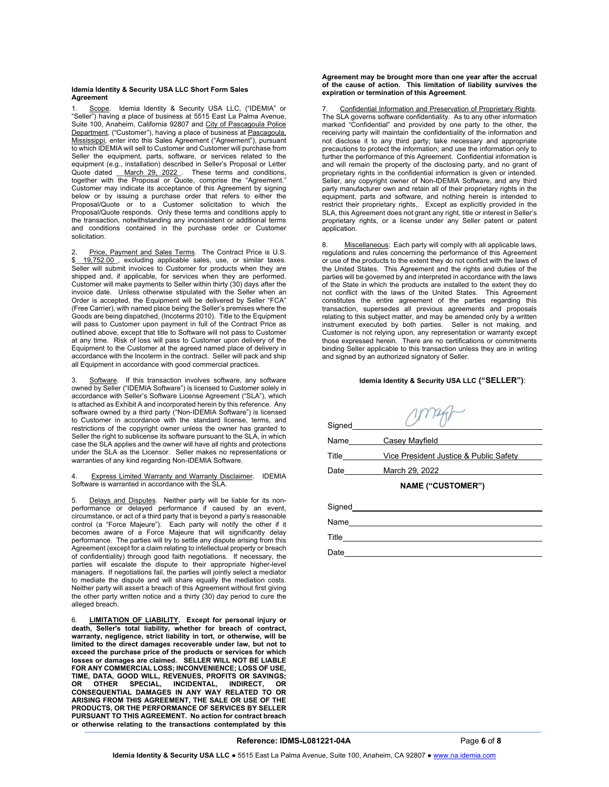#### Idemia Identity & Security USA LLC Short Form Sales **Agreement**

Scope. Idemia Identity & Security USA LLC, ("IDEMIA" or "Seller") having a place of business at 5515 East La Palma Avenue, Suite 100, Anaheim, California 92807 and City of Pascagoula Police Department, ("Customer"), having a place of business at Pascagoula, Mississippi, enter into this Sales Agreement ("Agreement"), pursuant to which IDEMIA will sell to Customer and Customer will purchase from Seller the equipment, parts, software, or services related to the equipment (e.g., installation) described in Seller's Proposal or Letter Quote dated *\_\_March 29, 2022\_*. These terms and conditions, together with the Proposal or Quote, comprise the "Agreement." Customer may indicate its acceptance of this Agreement by signing below or by issuing a purchase order that refers to either the Proposal/Quote or to a Customer solicitation to which the Proposal/Quote responds. Only these terms and conditions apply to the transaction, notwithstanding any inconsistent or additional terms and conditions contained in the purchase order or Customer solicitation.

2. Price, Payment and Sales Terms. The Contract Price is U.S. \$\_\_19,752.00\_, excluding applicable sales, use, or similar taxes. Seller will submit invoices to Customer for products when they are shipped and, if applicable, for services when they are performed. Customer will make payments to Seller within thirty (30) days after the invoice date. Unless otherwise stipulated with the Seller when an Order is accepted, the Equipment will be delivered by Seller "FCA" (Free Carrier), with named place being the Seller's premises where the Goods are being dispatched, (Incoterms 2010). Title to the Equipment will pass to Customer upon payment in full of the Contract Price as outlined above, except that title to Software will not pass to Customer at any time. Risk of loss will pass to Customer upon delivery of the Equipment to the Customer at the agreed named place of delivery in accordance with the Incoterm in the contract. Seller will pack and ship all Equipment in accordance with good commercial practices.

Software. If this transaction involves software, any software owned by Seller ("IDEMIA Software") is licensed to Customer solely in accordance with Seller's Software License Agreement ("SLA"), which is attached as Exhibit A and incorporated herein by this reference. Any software owned by a third party ("Non-IDEMIA Software") is licensed to Customer in accordance with the standard license, terms, and restrictions of the copyright owner unless the owner has granted to Seller the right to sublicense its software pursuant to the SLA, in which case the SLA applies and the owner will have all rights and protections under the SLA as the Licensor. Seller makes no representations or warranties of any kind regarding Non-IDEMIA Software.

#### Express Limited Warranty and Warranty Disclaimer. IDEMIA Software is warranted in accordance with the SLA.

5. Delays and Disputes. Neither party will be liable for its nonperformance or delayed performance if caused by an event, circumstance, or act of a third party that is beyond a party's reasonable control (a "Force Majeure"). Each party will notify the other if it becomes aware of a Force Majeure that will significantly delay performance. The parties will try to settle any dispute arising from this Agreement (except for a claim relating to intellectual property or breach of confidentiality) through good faith negotiations. If necessary, the parties will escalate the dispute to their appropriate higher-level managers. If negotiations fail, the parties will jointly select a mediator to mediate the dispute and will share equally the mediation costs. Neither party will assert a breach of this Agreement without first giving the other party written notice and a thirty (30) day period to cure the alleged breach.

6. LIMITATION OF LIABILITY. Except for personal injury or death, Seller's total liability, whether for breach of contract, warranty, negligence, strict liability in tort, or otherwise, will be limited to the direct damages recoverable under law, but not to exceed the purchase price of the products or services for which losses or damages are claimed. SELLER WILL NOT BE LIABLE FOR ANY COMMERCIAL LOSS; INCONVENIENCE; LOSS OF USE, TIME, DATA, GOOD WILL, REVENUES, PROFITS OR SAVINGS; OR OTHER SPECIAL, INCIDENTAL, INDIRECT, OR CONSEQUENTIAL DAMAGES IN ANY WAY RELATED TO OR ARISING FROM THIS AGREEMENT, THE SALE OR USE OF THE PRODUCTS, OR THE PERFORMANCE OF SERVICES BY SELLER PURSUANT TO THIS AGREEMENT. No action for contract breach or otherwise relating to the transactions contemplated by this

#### Agreement may be brought more than one year after the accrual of the cause of action. This limitation of liability survives the expiration or termination of this Agreement.

Confidential Information and Preservation of Proprietary Rights. The SLA governs software confidentiality. As to any other information marked "Confidential" and provided by one party to the other, the receiving party will maintain the confidentiality of the information and not disclose it to any third party; take necessary and appropriate precautions to protect the information; and use the information only to further the performance of this Agreement. Confidential information is and will remain the property of the disclosing party, and no grant of proprietary rights in the confidential information is given or intended. Seller, any copyright owner of Non-IDEMIA Software, and any third party manufacturer own and retain all of their proprietary rights in the equipment, parts and software, and nothing herein is intended to restrict their proprietary rights,. Except as explicitly provided in the SLA, this Agreement does not grant any right, title or interest in Seller's proprietary rights, or a license under any Seller patent or patent application.

8. Miscellaneous: Each party will comply with all applicable laws, regulations and rules concerning the performance of this Agreement or use of the products to the extent they do not conflict with the laws of the United States. This Agreement and the rights and duties of the parties will be governed by and interpreted in accordance with the laws of the State in which the products are installed to the extent they do not conflict with the laws of the United States. This Agreement constitutes the entire agreement of the parties regarding this transaction, supersedes all previous agreements and proposals relating to this subject matter, and may be amended only by a written instrument executed by both parties. Seller is not making, and Customer is not relying upon, any representation or warranty except those expressed herein. There are no certifications or commitments binding Seller applicable to this transaction unless they are in writing and signed by an authorized signatory of Seller.

#### Idemia Identity & Security USA LLC ("SELLER"):

| Signed       |                                        |
|--------------|----------------------------------------|
| Name         | Casey Mayfield                         |
| <b>Title</b> | Vice President Justice & Public Safety |
| Date         | March 29, 2022 March 29, 2022          |
|              | <b>NAME ("CUSTOMER")</b>               |
|              |                                        |
| Name         |                                        |
|              |                                        |
| Date         |                                        |

#### Reference: IDMS-L081221-04A Page 6 of 8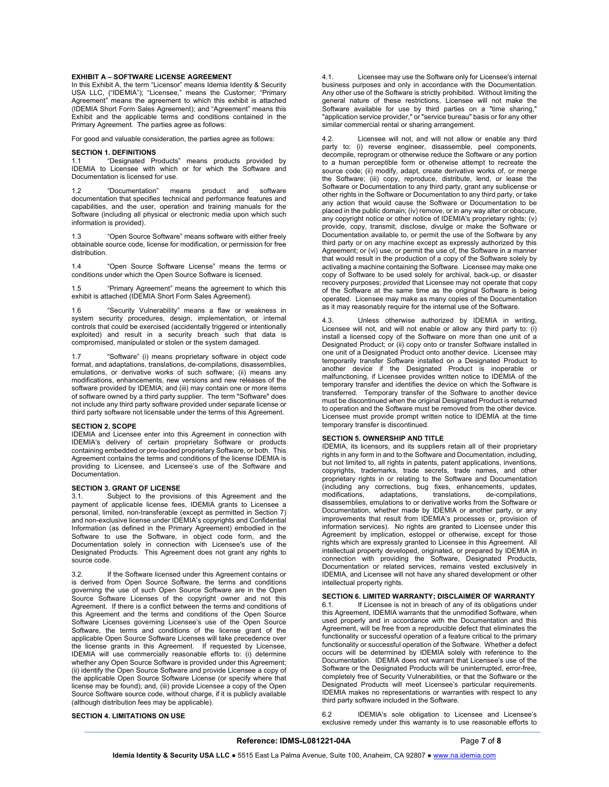#### EXHIBIT A – SOFTWARE LICENSE AGREEMENT

In this Exhibit A, the term "Licensor" means Idemia Identity & Security USA LLC, ("IDEMIA"); "Licensee," means the Customer; "Primary Agreement" means the agreement to which this exhibit is attached (IDEMIA Short Form Sales Agreement); and "Agreement" means this Exhibit and the applicable terms and conditions contained in the Primary Agreement. The parties agree as follows:

For good and valuable consideration, the parties agree as follows:

#### SECTION 1. DEFINITIONS

1.1 "Designated Products" means products provided by IDEMIA to Licensee with which or for which the Software and Documentation is licensed for use.

1.2 "Documentation" means product and software documentation that specifies technical and performance features and capabilities, and the user, operation and training manuals for the Software (including all physical or electronic media upon which such information is provided).

1.3 "Open Source Software" means software with either freely obtainable source code, license for modification, or permission for free distribution.

1.4 "Open Source Software License" means the terms or conditions under which the Open Source Software is licensed.

1.5 "Primary Agreement" means the agreement to which this exhibit is attached (IDEMIA Short Form Sales Agreement).

1.6 "Security Vulnerability" means a flaw or weakness in system security procedures, design, implementation, or internal controls that could be exercised (accidentally triggered or intentionally exploited) and result in a security breach such that data is compromised, manipulated or stolen or the system damaged.

1.7 "Software" (i) means proprietary software in object code format, and adaptations, translations, de-compilations, disassemblies, emulations, or derivative works of such software; (ii) means any modifications, enhancements, new versions and new releases of the software provided by IDEMIA; and (iii) may contain one or more items of software owned by a third party supplier. The term "Software" does not include any third party software provided under separate license or third party software not licensable under the terms of this Agreement.

#### SECTION 2. SCOPE

IDEMIA and Licensee enter into this Agreement in connection with IDEMIA's delivery of certain proprietary Software or products containing embedded or pre-loaded proprietary Software, or both. This Agreement contains the terms and conditions of the license IDEMIA is providing to Licensee, and Licensee's use of the Software and Documentation.

# **SECTION 3. GRANT OF LICENSE**<br>3.1. Subject to the provision

Subject to the provisions of this Agreement and the payment of applicable license fees, IDEMIA grants to Licensee a personal, limited, non-transferable (except as permitted in Section 7) and non-exclusive license under IDEMIA's copyrights and Confidential Information (as defined in the Primary Agreement) embodied in the Software to use the Software, in object code form, and the Documentation solely in connection with Licensee's use of the Designated Products. This Agreement does not grant any rights to source code.

3.2. If the Software licensed under this Agreement contains or is derived from Open Source Software, the terms and conditions governing the use of such Open Source Software are in the Open Source Software Licenses of the copyright owner and not this Agreement. If there is a conflict between the terms and conditions of this Agreement and the terms and conditions of the Open Source Software Licenses governing Licensee's use of the Open Source Software, the terms and conditions of the license grant of the applicable Open Source Software Licenses will take precedence over the license grants in this Agreement. If requested by Licensee, IDEMIA will use commercially reasonable efforts to: (i) determine whether any Open Source Software is provided under this Agreement; (ii) identify the Open Source Software and provide Licensee a copy of the applicable Open Source Software License (or specify where that license may be found); and, (iii) provide Licensee a copy of the Open Source Software source code, without charge, if it is publicly available (although distribution fees may be applicable).

SECTION 4. LIMITATIONS ON USE

4.1. Licensee may use the Software only for Licensee's internal business purposes and only in accordance with the Documentation. Any other use of the Software is strictly prohibited. Without limiting the general nature of these restrictions, Licensee will not make the Software available for use by third parties on a "time sharing," "application service provider," or "service bureau" basis or for any other similar commercial rental or sharing arrangement.

4.2. Licensee will not, and will not allow or enable any third party to: (i) reverse engineer, disassemble, peel components, decompile, reprogram or otherwise reduce the Software or any portion to a human perceptible form or otherwise attempt to recreate the source code; (ii) modify, adapt, create derivative works of, or merge the Software; (iii) copy, reproduce, distribute, lend, or lease the Software or Documentation to any third party, grant any sublicense or other rights in the Software or Documentation to any third party, or take any action that would cause the Software or Documentation to be placed in the public domain; (iv) remove, or in any way alter or obscure, any copyright notice or other notice of IDEMIA's proprietary rights; (v) provide, copy, transmit, disclose, divulge or make the Software or Documentation available to, or permit the use of the Software by any third party or on any machine except as expressly authorized by this Agreement; or (vi) use, or permit the use of, the Software in a manner that would result in the production of a copy of the Software solely by activating a machine containing the Software. Licensee may make one copy of Software to be used solely for archival, back-up, or disaster recovery purposes; *provided* that Licensee may not operate that copy of the Software at the same time as the original Software is being operated. Licensee may make as many copies of the Documentation as it may reasonably require for the internal use of the Software.

4.3. Unless otherwise authorized by IDEMIA in writing, Licensee will not, and will not enable or allow any third party to: (i) install a licensed copy of the Software on more than one unit of a Designated Product; or (ii) copy onto or transfer Software installed in one unit of a Designated Product onto another device. Licensee may temporarily transfer Software installed on a Designated Product to another device if the Designated Product is inoperable or malfunctioning, if Licensee provides written notice to IDEMIA of the temporary transfer and identifies the device on which the Software is transferred. Temporary transfer of the Software to another device must be discontinued when the original Designated Product is returned to operation and the Software must be removed from the other device. Licensee must provide prompt written notice to IDEMIA at the time temporary transfer is discontinued.

#### SECTION 5. OWNERSHIP AND TITLE

IDEMIA, its licensors, and its suppliers retain all of their proprietary rights in any form in and to the Software and Documentation, including, but not limited to, all rights in patents, patent applications, inventions, copyrights, trademarks, trade secrets, trade names, and other proprietary rights in or relating to the Software and Documentation (including any corrections, bug fixes, enhancements, updates, modifications, adaptations, translations, de-compilations, disassemblies, emulations to or derivative works from the Software or Documentation, whether made by IDEMIA or another party, or any improvements that result from IDEMIA's processes or, provision of information services). No rights are granted to Licensee under this Agreement by implication, estoppel or otherwise, except for those rights which are expressly granted to Licensee in this Agreement. All intellectual property developed, originated, or prepared by IDEMIA in connection with providing the Software, Designated Products, Documentation or related services, remains vested exclusively in IDEMIA, and Licensee will not have any shared development or other intellectual property rights.

#### SECTION 6. LIMITED WARRANTY; DISCLAIMER OF WARRANTY

6.1. If Licensee is not in breach of any of its obligations under this Agreement, IDEMIA warrants that the unmodified Software, when used properly and in accordance with the Documentation and this Agreement, will be free from a reproducible defect that eliminates the functionality or successful operation of a feature critical to the primary functionality or successful operation of the Software. Whether a defect occurs will be determined by IDEMIA solely with reference to the Documentation. IDEMIA does not warrant that Licensee's use of the Software or the Designated Products will be uninterrupted, error-free, completely free of Security Vulnerabilities, or that the Software or the Designated Products will meet Licensee's particular requirements. IDEMIA makes no representations or warranties with respect to any third party software included in the Software.

6.2 IDEMIA's sole obligation to Licensee and Licensee's exclusive remedy under this warranty is to use reasonable efforts to

#### Reference: IDMS-L081221-04A Page 7 of 8